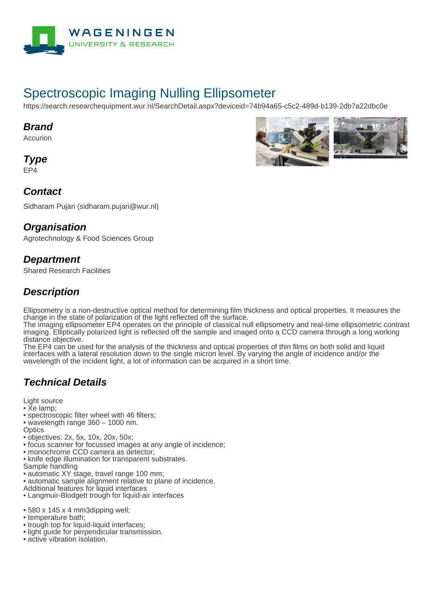

# Spectroscopic Imaging Nulling Ellipsometer

https://search.researchequipment.wur.nl/SearchDetail.aspx?deviceid=74b94a65-c5c2-489d-b139-2db7a22dbc0e

#### **Brand**

Accurion

**Type**

EP4

## **Contact**

Sidharam Pujari (sidharam.pujari@wur.nl)

### **Organisation**

Agrotechnology & Food Sciences Group

### **Department**

Shared Research Facilities

## **Description**

Ellipsometry is a non-destructive optical method for determining film thickness and optical properties. It measures the change in the state of polarization of the light reflected off the surface.

The imaging ellipsometer EP4 operates on the principle of classical null ellipsometry and real-time ellipsometric contrast imaging. Elliptically polarized light is reflected off the sample and imaged onto a CCD camera through a long working distance objective.

The EP4 can be used for the analysis of the thickness and optical properties of thin films on both solid and liquid interfaces with a lateral resolution down to the single micron level. By varying the angle of incidence and/or the wavelength of the incident light, a lot of information can be acquired in a short time.

## **Technical Details**

Light source

• Xe lamp;

- spectroscopic filter wheel with 46 filters;
- wavelength range 360 1000 nm.

**Optics** 

- objectives: 2x, 5x, 10x, 20x, 50x;
- focus scanner for focussed images at any angle of incidence;
- monochrome CCD camera as detector;
- knife edge illumination for transparent substrates.

Sample handling

- automatic XY stage, travel range 100 mm;
- automatic sample alignment relative to plane of incidence.
- Additional features for liquid interfaces
- Langmuir-Blodgett trough for liquid-air interfaces
- 580 x 145 x 4 mm3dipping well;
- temperature bath;
- trough top for liquid-liquid interfaces;
- light quide for perpendicular transmission.
- active vibration isolation.